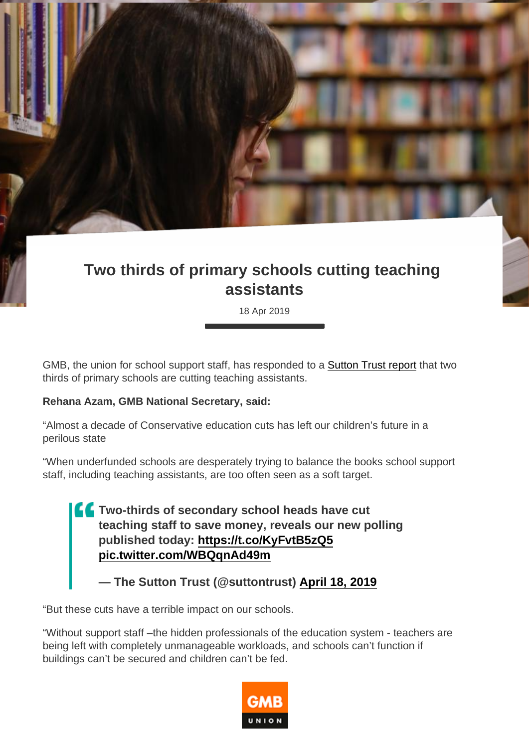## Two thirds of primary schools cutting teaching assistants

18 Apr 2019

GMB, the union for school support staff, has responded to a [Sutton Trust report](https://www.suttontrust.com/newsarchive/two-thirds-of-school-heads-have-cut-teachers-to-save-money/) that two thirds of primary schools are cutting teaching assistants.

Rehana Azam, GMB National Secretary, said:

"Almost a decade of Conservative education cuts has left our children's future in a perilous state

"When underfunded schools are desperately trying to balance the books school support staff, including teaching assistants, are too often seen as a soft target.

> Two-thirds of secondary school heads have cut teaching staff to save money, reveals our new polling published today: <https://t.co/KyFvtB5zQ5> [pic.twitter.com/WBQqnAd49m](https://t.co/WBQqnAd49m)

— The Sutton Trust (@suttontrust) [April 18, 2019](https://twitter.com/suttontrust/status/1118742458073014273?ref_src=twsrc^tfw)

"But these cuts have a terrible impact on our schools.

"Without support staff –the hidden professionals of the education system - teachers are being left with completely unmanageable workloads, and schools can't function if buildings can't be secured and children can't be fed.